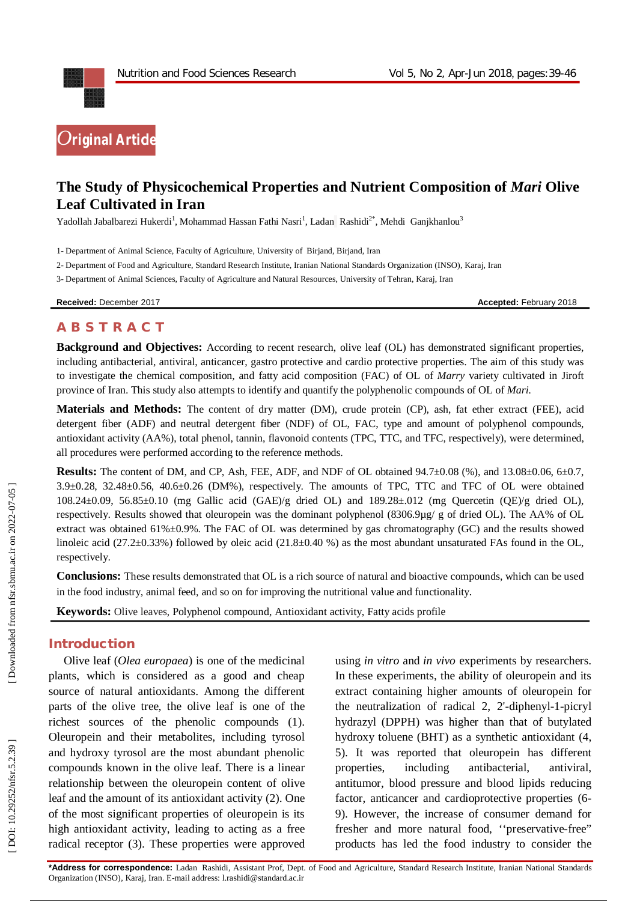

# **The Study of Physicochemical Properties and Nutrient Composition of** *Mari* **Olive Leaf Cultivated in Iran**

Yadollah Jabalbarezi Hukerdi<sup>1</sup>, Mohammad Hassan Fathi Nasri<sup>1</sup>, Ladan Rashidi<sup>2\*</sup>, Mehdi Ganjkhanlou<sup>3</sup>

1 - Department of Animal Science, Faculty of Agriculture, University of Birjand, Birjand, Iran

2 - Department of Food and Agriculture, Standard Research Institute, Iranian National Standards Organization (INSO), Karaj, Iran

3 - Department of Animal Sciences, Faculty of Agriculture and Natural Resources, University of Tehran, Karaj, Iran

**Received:** December 201

**7** Accepted: February 2018

# **A B S T R A C T**

**Background and Objectives:** According to recent research, olive leaf (OL) has demonstrated significant properties, including antibacterial, antiviral, anticancer, gastro protective and cardio protective properties. The aim of this study was to investigate the chemical composition, and fatty acid composition (FAC) of OL of *Marry* variety cultivated in Jiroft province of Iran. This study also attempts to identify and quantify the polyphenolic compounds of OL of *Mari.*

**Materials and Methods:** The content of dry matter (DM), crude protein (CP), ash, fat ether extract (FEE), acid detergent fiber (ADF) and neutral detergent fiber (NDF) of OL, FAC, type and amount of polyphenol compounds, antioxidant activity (AA%), total phenol, tannin, flavonoid contents (TPC, TTC, and TFC, respectively), were determined, all procedures were performed according to the reference methods.

Results: The content of DM, and CP, Ash, FEE, ADF, and NDF of OL obtained 94.7±0.08 (%), and 13.08±0.06, 6±0.7,  $3.9\pm0.28$ ,  $32.48\pm0.56$ ,  $40.6\pm0.26$  (DM%), respectively. The amounts of TPC, TTC and TFC of OL were obtained 108.24 ±0.09, 56.85 ±0.10 (mg Gallic acid (GAE)/g dried OL) and 189.28 ±.012 (mg Quercetin (QE)/g dried OL), respectively. Results showed that oleuropein was the dominant polyphenol (8306.9µg/ g of dried OL). The AA% of OL extract was obtained 61%±0.9%. The FAC of OL was determined by gas chromatography (GC) and the results showed linoleic acid (27.2±0.33%) followed by oleic acid (21.8±0.40 %) as the most abundant unsaturated FAs found in the OL, respectively.

**Conclusions:** These results demonstrated that OL is a rich source of natural and bioactive compounds, which can be used in the food industry, animal feed, and so on for improving the nutritional value and functionality .

Keywords: Olive leaves, Polyphenol compound, Antioxidant activity, Fatty acids profile

#### **Introduction**

Olive leaf (*Olea europaea*) is one of the medicinal plants, which is considered as a good and cheap source of natural antioxidants. Among the different parts of the olive tree, the olive leaf is one of the richest sources of the phenolic compounds ( 1 ). Oleuropein and their metabolites, including tyrosol and hydroxy tyrosol are the most abundant phenolic compounds known in the olive leaf. There is a linear relationship between the oleuropein content of olive leaf and the amount of its antioxidant activity ( 2 ). One of the most significant properties of oleuropein is its high antioxidant activity, leading to acting as a free radical receptor ( 3 ). These properties were approved using *in vitro* and *in vivo* experiments by researchers. In these experiments, the ability of oleuropein and its extract containing higher amounts of oleuropein for the neutralization of radical 2, 2' -diphenyl - 1 -picryl hydrazyl (DPPH) was higher than that of butylated hydroxy toluene (BHT) as a synthetic antioxidant ( 4, 5 ). It was reported that oleuropein has different properties, including antibacterial, antiviral, antitumor, blood pressure and blood lipids reducing factor, anticancer and cardioprotective properties (6-9 ). However, the increase of consumer demand for fresher and more natural food, "preservative-free" products has led the food industry to consider the

**\*Address for correspondence:** Ladan Rashidi, Assistant Prof, Dept. of Food and Agriculture, Standard Research Institute, Iranian National Standards Organization (INSO), Karaj, Iran. E -mail address: l.rashidi@standard.ac.ir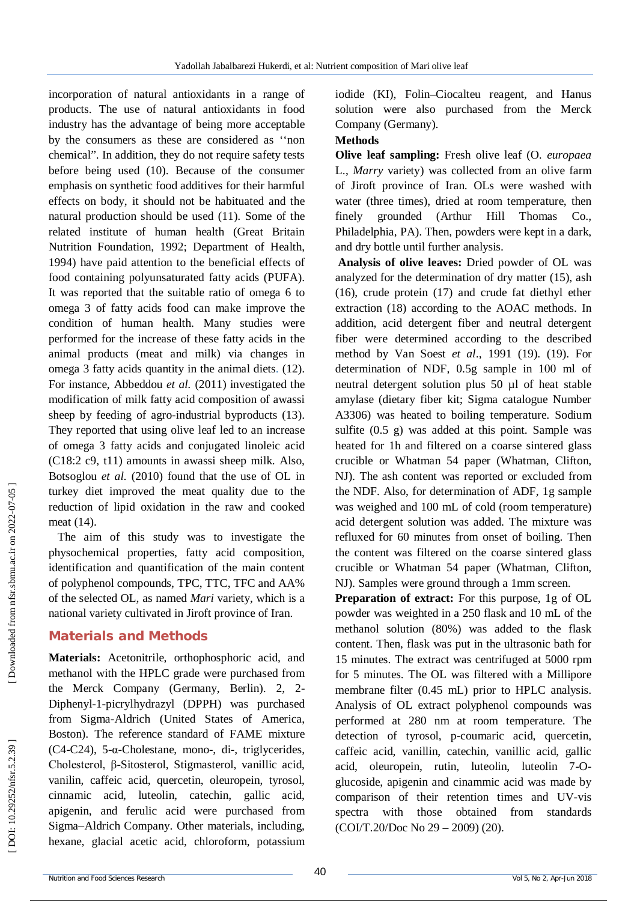incorporation of natural antioxidants in a range of products. The use of natural antioxidants in food industry has the advantage of being more acceptable by the consumers as these are considered as ''non chemical". In addition, they do not require safety tests before being used (10 ). Because of the consumer emphasis on synthetic food additives for their harmful effects on body, it should not be habituated and the natural production should be used (11 ). Some of the related institute of human health (Great Britain Nutrition Foundation, 1992; Department of Health, 1994) have paid attention to the beneficial effects of food containing polyunsaturated fatty acids (PUFA). It was reported that the suitable ratio of omega 6 to omega 3 of fatty acids food can make improve the condition of human health. Many studies were performed for the increase of these fatty acids in the animal products (meat and milk) via changes in omega 3 fatty acids quantity in the animal diets . (12 ). For instance, Abbeddou *et al.* (2011) investigated the modification of milk fatty acid composition of awassi sheep by feeding of agro -industrial byproducts (13 ). They reported that using olive leaf led to an increase of omega 3 fatty acids and conjugated linoleic acid (C18:2 c9, t11) amounts in awassi sheep milk. Also, Botsoglou *et al.* (2010) found that the use of OL in turkey diet improved the meat quality due to the reduction of lipid oxidation in the raw and cooked meat (14 ) .

The aim of this study was to investigate the physochemical properties, fatty acid composition, identification and quantification of the main content of polyphenol compounds, TPC, TTC, TFC and AA% of the selected OL, as named *Mari* variety, which is a national variety cultivated in Jiroft province of Iran.

# **Material s and Methods**

**Materials:** Acetonitrile, orthophosphoric acid, and methanol with the HPLC grade were purchased from the Merck Company (Germany, Berlin). 2, 2 - Diphenyl - 1 -picrylhydrazyl (DPPH) was purchased from Sigma -Aldrich (United States of America, Boston). The reference standard of FAME mixture (C4 -C24), 5 - α -Cholestane, mono -, di -, triglycerides, Cholesterol, β -Sitosterol, Stigmasterol, vanillic acid, vanilin, caffeic acid, quercetin, oleuropein, tyrosol, cinnamic acid, luteolin, catechin, gallic acid, apigenin, and ferulic acid were purchased from Sigma –Aldrich Company. Other materials, including, hexane, glacial acetic acid, chloroform, potassium

iodide (KI), Folin–Ciocalteu reagent, and Hanus solution were also purchased from the Merck Company (Germany).

### **Methods**

**Olive leaf sampling:** Fresh olive leaf (O. *europaea* L., *Marry* variety) was collected from an olive farm of Jiroft province of Iran. OLs were washed with water (three times), dried at room temperature, then finely grounded (Arthur Hill Thomas Co., Philadelphia, PA). Then, powders were kept in a dark, and dry bottle until further analysis.

**Analysis of olive leaves:** Dried powder of OL was analyzed for the determination of dry matter (15 ), ash (16 ), crude protein (17 ) and crude fat diethyl ether extraction (18 ) according to the AOAC methods. In addition, acid detergent fiber and neutral detergent fiber were determined according to the described method by Van Soest *et al*., 1991 (19 ) . (19). For determination of NDF, 0.5g sample in 100 ml of neutral detergent solution plus 50 µl of heat stable amylase (dietary fiber kit; Sigma catalogue Number A3306) was heated to boiling temperature. Sodium sulfite (0.5 g) was added at this point. Sample was heated for 1h and filtered on a coarse sintered glass crucible or Whatman 54 paper (Whatman, Clifton, NJ). The ash content was reported or excluded from the NDF. Also, for determination of ADF, 1g sample was weighed and 100 mL of cold (room temperature) acid detergent solution was added. The mixture was refluxed for 60 minutes from onset of boiling. Then the content was filtered on the coarse sintered glass crucible or Whatman 54 paper (Whatman, Clifton, NJ). Samples were ground through a 1mm screen.

**Preparation of extract:** For this purpose, 1g of OL powder was weighted in a 250 flask and 10 mL of the methanol solution (80%) was added to the flask content. Then, flask was put in the ultrasonic bath for 15 minutes. The extract was centrifuged at 5000 rpm for 5 minutes. The OL was filtered with a Millipore membrane filter (0.45 mL) prior to HPLC analysis. Analysis of OL extract polyphenol compounds was performed at 280 nm at room temperature. The detection of tyrosol, p -coumaric acid, quercetin, caffeic acid, vanillin, catechin, vanillic acid, gallic acid, oleuropein, rutin, luteolin, luteolin 7 - O glucoside, apigenin and cinammic acid was made by comparison of their retention times and UV -vis spectra with those obtained from standards (COI/T.20/Doc No 29 – 2009) (20 ) .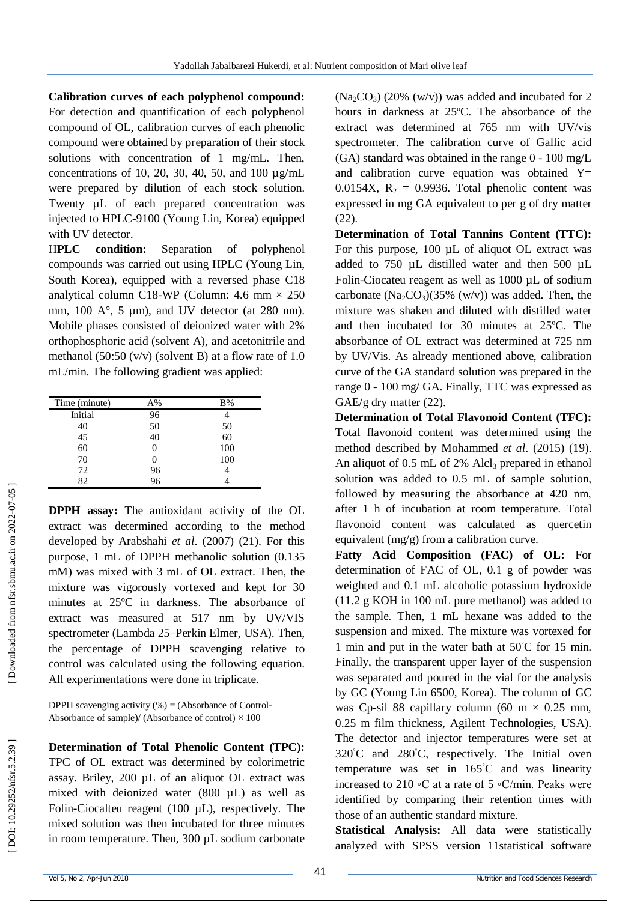**Calibration curves of each polyphenol compound:**  For detection and quantification of each polyphenol compound of OL, calibration curves of each phenolic compound were obtained by preparation of their stock solutions with concentration of 1 mg/mL. Then, concentrations of 10, 20, 30, 40, 50, and 100  $\mu$ g/mL were prepared by dilution of each stock solution. Twenty  $\mu$ L of each prepared concentration was injected to HPLC -9100 (Young Lin, Korea) equipped with UV detector.

H**PLC condition:** Separation of polyphenol compounds was carried out using HPLC (Young Lin, South Korea), equipped with a reversed phase C18 analytical column C18-WP (Column: 4.6 mm  $\times$  250 mm, 100 A $^{\circ}$ , 5 µm), and UV detector (at 280 nm). Mobile phases consisted of deionized water with 2% orthophosphoric acid (solvent A), and acetonitrile and methanol (50:50  $(v/v)$  (solvent B) at a flow rate of 1.0 mL/min. The following gradient was applied:

| Time (minute) | A%       | B%  |
|---------------|----------|-----|
| Initial       | 96       |     |
| 40            | 50       | 50  |
| 45            | 40       | 60  |
| 60            |          | 100 |
| 70            | 0        | 100 |
| 72            | 96<br>96 |     |
| 82            |          |     |

**DPPH assay:** The antioxidant activity of the OL extract was determined according to the method developed by Arabshahi *et al*. (2007) (21 ). For this purpose, 1 mL of DPPH methanolic solution (0.135 mM) was mixed with 3 mL of OL extract. Then, the mixture was vigorously vortexed and kept for 30 minutes at 25ºC in darkness. The absorbance of extract was measured at 517 nm by UV/VIS spectrometer (Lambda 25 –Perkin Elmer, USA). Then, the percentage of DPPH scavenging relative to control was calculated using the following equation. All experimentations were done in triplicate.

DPPH scavenging activity (%) = (Absorbance of Control - Absorbance of sample)/ (Absorbance of control)  $\times$  100

**Determination of Total Phenolic Content (TPC):**  TPC of OL extract was determined by colorimetric assay. Briley, 200 µL of an aliquot OL extract was mixed with deionized water (800 µL) as well as Folin -Ciocalteu reagent (100 µL), respectively. The mixed solution was then incubated for three minutes in room temperature. Then, 300 µL sodium carbonate

 $(Na_2CO_3)$  (20%  $(w/v)$ ) was added and incubated for 2 hours in darkness at 25ºC. The absorbance of the extract was determined at 765 nm with UV/vis spectrometer. The calibration curve of Gallic acid  $(GA)$  standard was obtained in the range  $0 - 100$  mg/L and calibration curve equation was obtained  $Y=$ 0.0154X,  $R_2 = 0.9936$ . Total phenolic content was expressed in mg GA equivalent to per g of dry matter (22).

**Determination of Total Tannins Content (TTC):**  For this purpose, 100 µL of aliquot OL extract was added to 750 µL distilled water and then 500 µL Folin -Ciocateu reagent as well as 1000 µL of sodium carbonate  $(Na_2CO_3)(35\% (w/v))$  was added. Then, the mixture was shaken and diluted with distilled water and then incubated for 30 minutes at 25ºC. The absorbance of OL extract was determined at 725 nm by UV/Vis. As already mentioned above, calibration curve of the GA standard solution was prepared in the range 0 - 100 mg/ GA. Finally, TTC was expressed as GAE/g dry matter (22).

**Determination of Total Flavonoid Content (TFC):**  Total flavonoid content was determined using the method described by Mohammed *et al*. (2015) (19). An aliquot of 0.5 mL of 2% Alcl <sup>3</sup> prepared in ethanol solution was added to 0.5 mL of sample solution, followed by measuring the absorbance at 420 nm, after 1 h of incubation at room temperature. Total flavonoid content was calculated as quercetin equivalent (mg/g) from a calibration curve.

**Fatty Acid Composition (FAC) of OL:** For determination of FAC of OL, 0.1 g of powder was weighted and 0.1 mL alcoholic potassium hydroxide (11.2 g KOH in 100 mL pure methanol) was added to the sample. Then, 1 mL hexane was added to the suspension and mixed. The mixture was vortexed for 1 min and put in the water bath at 50°C for 15 min. Finally, the transparent upper layer of the suspension was separated and poured in the vial for the analysis by GC (Young Lin 6500, Korea). The column of GC was Cp-sil 88 capillary column (60 m  $\times$  0.25 mm, 0.25 m film thickness, Agilent Technologies, USA). The detector and injector temperatures were set at 320°C and 280°C, respectively. The Initial oven temperature was set in  $165^{\circ}$ C and was linearity increased to 210 ◦C at a rate of 5 ◦C/min. Peaks were identified by comparing their retention times with those of an authentic standard mixture.

**Statistical Analysis:** All data were statistically analyzed with SPSS version 11statistical software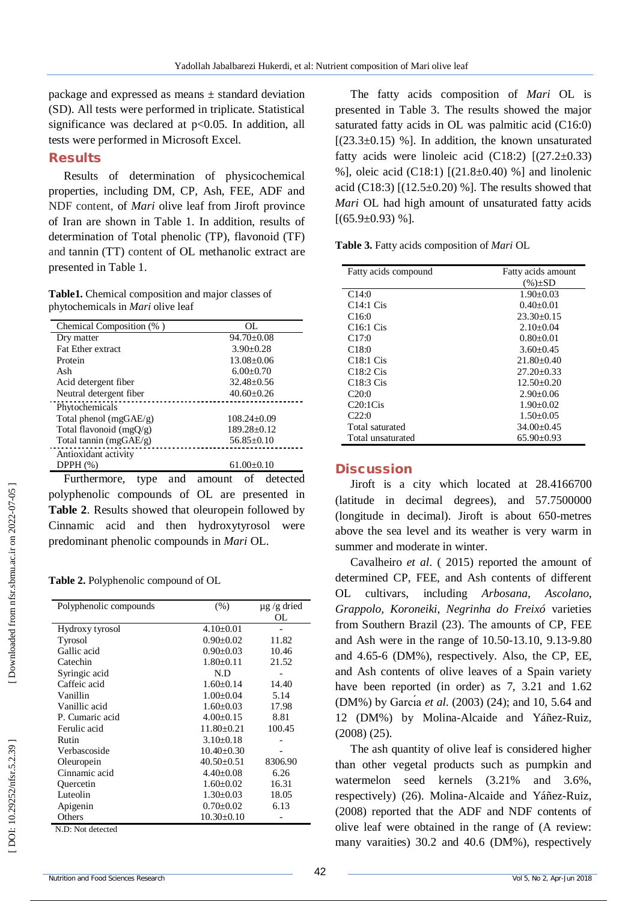package and expressed as means  $\pm$  standard deviation (SD). All tests were performed in triplicate. Statistical significance was declared at p<0.05. In addition, all tests were performed in Microsoft Excel.

#### **Results**

Results of determination of physicochemical properties, including DM, CP, Ash, FEE, ADF and NDF content, of *Mari* olive leaf from Jiroft province of Iran are shown in Table 1. In addition, results of determination of Total phenolic (TP), flavonoid (TF) and tannin (TT) content of OL methanolic extract are presented in Table 1.

**Table1.** Chemical composition and major classes of phytochemicals in *Mari* olive leaf

| Chemical Composition (%)  | OL.              |
|---------------------------|------------------|
| Dry matter                | $94.70 \pm 0.08$ |
| <b>Fat Ether extract</b>  | $3.90 + 0.28$    |
| Protein                   | $13.08 \pm 0.06$ |
| Ash                       | $6.00 \pm 0.70$  |
| Acid detergent fiber      | $32.48 + 0.56$   |
| Neutral detergent fiber   | $40.60 + 0.26$   |
| Phytochemicals            |                  |
| Total phenol $(mgGAE/g)$  | $108.24 + 0.09$  |
| Total flavonoid $(mgQ/g)$ | $189.28 + 0.12$  |
| Total tannin (mgGAE/g)    | $56.85 \pm 0.10$ |
| Antioxidant activity      |                  |
| DPPH $(\%)$               | $61.00 \pm 0.10$ |

Furthermore, type and amount of detected polyphenolic compounds of OL are presented in **Table 2**. Results showed that oleuropein followed by Cinnamic acid and then hydroxytyrosol were predominant phenolic compounds in *Mari* OL.

**Table 2.**  Polyphenolic compound of OL

| Polyphenolic compounds | (% )             |                  |
|------------------------|------------------|------------------|
|                        |                  | $\mu$ g /g dried |
|                        |                  | OL               |
| Hydroxy tyrosol        | $4.10 \pm 0.01$  |                  |
| Tyrosol                | $0.90 \pm 0.02$  | 11.82            |
| Gallic acid            | $0.90 \pm 0.03$  | 10.46            |
| Catechin               | $1.80 \pm 0.11$  | 21.52            |
| Syringic acid          | N.D              |                  |
| Caffeic acid           | $1.60 \pm 0.14$  | 14.40            |
| Vanillin               | $1.00+0.04$      | 5.14             |
| Vanillic acid          | $1.60 \pm 0.03$  | 17.98            |
| P. Cumaric acid        | $4.00 \pm 0.15$  | 8.81             |
| Ferulic acid           | $11.80 \pm 0.21$ | 100.45           |
| Rutin                  | $3.10 \pm 0.18$  |                  |
| Verbascoside           | $10.40 \pm 0.30$ |                  |
| Oleuropein             | $40.50 \pm 0.51$ | 8306.90          |
| Cinnamic acid          | $4.40 \pm 0.08$  | 6.26             |
| Quercetin              | $1.60 \pm 0.02$  | 16.31            |
| Luteolin               | $1.30 \pm 0.03$  | 18.05            |
| Apigenin               | $0.70 \pm 0.02$  | 6.13             |
| Others                 | $10.30 \pm 0.10$ |                  |
| M. D. Mot dotootad     |                  |                  |

N.D: Not detected

The fatty acids composition of *Mari* OL is presented in Table 3. The results showed the major saturated fatty acids in OL was palmitic acid (C16:0)  $[(23.3\pm0.15)$  %]. In addition, the known unsaturated fatty acids were linoleic acid (C18:2)  $[(27.2 \pm 0.33)]$ %], oleic acid (C18:1) [(21.8±0.40) %] and linolenic acid (C18:3)  $[(12.5 \pm 0.20)$  %]. The results showed that *Mari* OL had high amount of unsaturated fatty acids  $[(65.9\pm0.93)$  %].

**Table 3.** Fatty acids composition of *Mari* OL

| Fatty acids compound              | Fatty acids amount |
|-----------------------------------|--------------------|
|                                   |                    |
|                                   | $(\%)\pm SD$       |
| C <sub>14:0</sub>                 | $1.90 + 0.03$      |
| C14:1 Cis                         | $0.40 + 0.01$      |
| C16:0                             | $23.30+0.15$       |
| C <sub>16:1</sub> C <sub>is</sub> | $2.10+0.04$        |
| C17:0                             | $0.80 + 0.01$      |
| C18:0                             | $3.60 + 0.45$      |
| C18:1 Cis                         | $21.80 + 0.40$     |
| C18:2 Cis                         | $27.20 + 0.33$     |
| C18:3 Cis                         | $12.50+0.20$       |
| C20:0                             | $2.90+0.06$        |
| C20:1Cis                          | $1.90 + 0.02$      |
| C22:0                             | $1.50+0.05$        |
| Total saturated                   | $34.00+0.45$       |
| Total unsaturated                 | $65.90 \pm 0.93$   |

#### **Discussion**

Jiroft is a city which located at 28.4166700 (latitude in decimal degrees), and 57.7500000 (longitude in decimal). Jiroft is about 650 -metres above the sea level and its weather is very warm in summer and moderate in winter.

Cavalheiro *et al*. ( 2015) reported the amount of determined CP, FEE, and Ash contents of different OL cultivars, including *Arbosana, Ascolano, Grappolo, Koroneiki*, *Negrinha do Freixó* varieties from Southern Brazil (23 ). The amounts of CP, FEE and Ash were in the range of 10.50 -13.10, 9.13 -9.80 and 4.65 -6 (DM%), respectively. Also, the CP, EE, and Ash contents of olive leaves of a Spain variety have been reported (in order) as 7, 3.21 and 1.62 (DM%) by Garcia *et al.* (2003) (24); and 10, 5.64 and 12 (DM%) by Molina -Alcaide and Yáñez -Ruiz, (2008) (25 ).

The ash quantity of olive leaf is considered higher than other vegetal products such as pumpkin and watermelon seed kernels (3.21% and 3.6%, respectively) (26 ) . Molina -Alcaide and Yáñez -Ruiz, (2008) reported that the ADF and NDF contents of olive leaf were obtained in the range of (A review: many varaities) 30.2 and 40.6 (DM%), respectively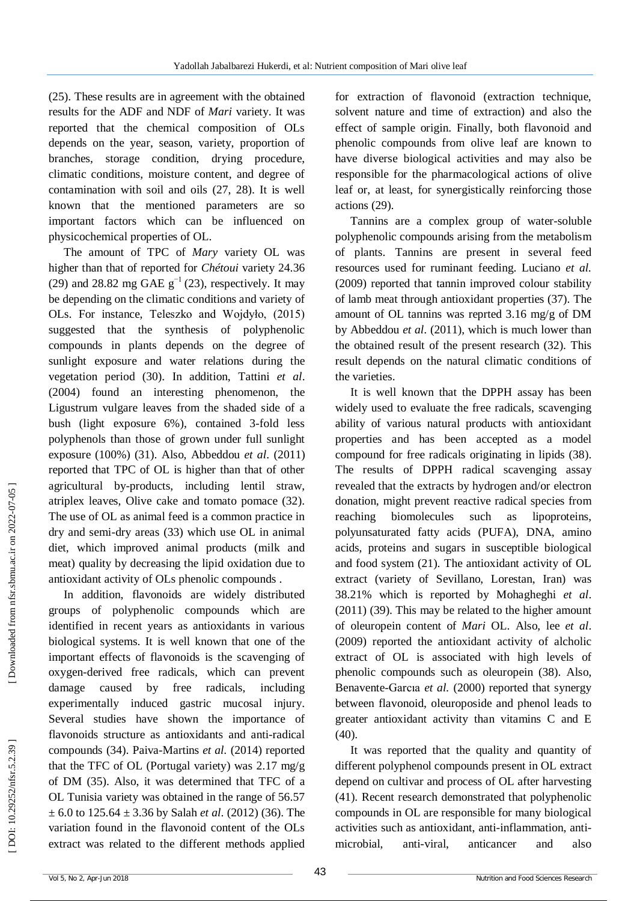(25 ). These results are in agreement with the obtained results for the ADF and NDF of *Mari* variety. It was reported that the chemical composition of OLs depends on the year, season, variety, proportion of branches, storage condition, drying procedure, climatic conditions, moisture content, and degree of contamination with soil and oils (27, 28 ). It is well known that the mentioned parameters are so important factors which can be influenced on physicochemical properties of OL.

The amount of TPC of *Mary* variety OL was higher than that of reported for *Chétoui* variety 24.36 (29) and 28.82 mg GAE g<sup>−1</sup> (23), respectively. It may be depending on the climatic conditions and variety of OLs. For instance, Teleszko and Wojdyło, (2015) suggested that the synthesis of polyphenolic compounds in plants depends on the degree of sunlight exposure and water relations during the vegetation period (30 ). In addition, Tattini *et al*. (2004) found an interesting phenomenon, the Ligustrum vulgare leaves from the shaded side of a bush (light exposure 6%), contained 3 -fold less polyphenols than those of grown under full sunlight exposure (100%) (31 ). Also, Abbeddou *et al*. (2011) reported that TPC of OL is higher than that of other agricultural by -products, including lentil straw, atriplex leaves, Olive cake and tomato pomace (32 ). The use of OL as animal feed is a common practice in dry and semi -dry areas (33 ) which use OL in animal diet, which improved animal products (milk and meat) quality by decreasing the lipid oxidation due to antioxidant activity of OLs phenolic compounds .

In addition, flavonoids are widely distributed groups of polyphenolic compounds which are identified in recent years as antioxidants in various biological systems. It is well known that one of the important effects of flavonoids is the scavenging of oxygen -derived free radicals, which can prevent damage caused by free radicals, including experimentally induced gastric mucosal injury. Several studies have shown the importance of flavonoids structure as antioxidants and anti -radical compounds (34 ). Paiva -Martins *et al.* (2014) reported that the TFC of OL (Portugal variety) was 2.17 mg/g of DM (35 ). Also, it was determined that TFC of a OL Tunisia variety was obtained in the range of 56.57 ± 6.0 to 125.64 ± 3.36 by Salah *et al*. (2012) (36 ). The variation found in the flavonoid content of the OLs extract was related to the different methods applied

for extraction of flavonoid (extraction technique, solvent nature and time of extraction) and also the effect of sample origin. Finally, both flavonoid and phenolic compounds from olive leaf are known to have diverse biological activities and may also be responsible for the pharmacological actions of olive leaf or, at least, for synergistically reinforcing those actions (29 ) .

Tannins are a complex group of water -soluble polyphenolic compounds arising from the metabolism of plants. Tannins are present in several feed resources used for ruminant feeding. Luciano *et al.* (2009) reported that tannin improved colour stability of lamb meat through antioxidant properties (37 ). The amount of OL tannins was reprted 3.16 mg/g of DM by Abbeddou *et al*. (2011), which is much lower than the obtained result of the present research (32 ) . This result depends on the natural climatic conditions of the varieties.

It is well known that the DPPH assay has been widely used to evaluate the free radicals, scavenging ability of various natural products with antioxidant properties and has been accepted as a model compound for free radicals originating in lipids (38 ). The results of DPPH radical scavenging assay revealed that the extracts by hydrogen and/or electron donation, might prevent reactive radical species from reaching biomolecules such as lipoproteins, polyunsaturated fatty acids (PUFA), DNA, amino acids, proteins and sugars in susceptible biological and food system (21 ). The antioxidant activity of OL extract (variety of Sevillano, Lorestan, Iran) was 38.21% which is reported by Mohagheghi *et al*. (2011) (39 ). This may be related to the higher amount of oleuropein content of *Mari* OL. Also, lee *et al*. (2009) reported the antioxidant activity of alcholic extract of OL is associated with high levels of phenolic compounds such as oleuropein (38 ). Also, Benavente -Garcıa *et al.* (2000) reported that synergy between flavonoid, oleuroposide and phenol leads to greater antioxidant activity than vitamins C and E (40).

It was reported that the quality and quantity of different polyphenol compounds present in OL extract depend on cultivar and process of OL after harvesting (41). Recent research demonstrated that polyphenolic compounds in OL are responsible for many biological activities such as antioxidant, anti -inflammation, anti microbial, anti anticancer and also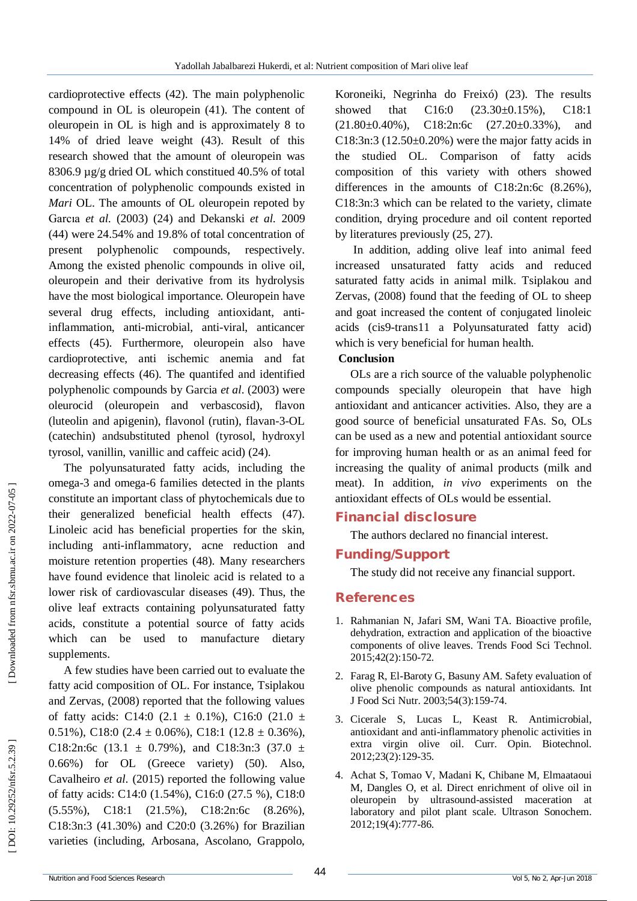cardioprotective effects (42 ). The main polyphenolic compound in OL is oleuropein (41 ). The content of oleuropein in OL is high and is approximately 8 to 14% of dried leave weight (43 ). Result of this research showed that the amount of oleuropein was 8306.9 µg/g dried OL which constitued 40.5% of total concentration of polyphenolic compounds existed in *Mari* OL. The amounts of OL oleuropein repoted by Garcıa *et al.* (2003) (24 ) and Dekanski *et al.* 2009 (44 ) were 24.54% and 19.8% of total concentration of present polyphenolic compounds, respectively. Among the existed phenolic compounds in olive oil, oleuropein and their derivative from its hydrolysis have the most biological importance. Oleuropein have several drug effects, including antioxidant, anti inflammation, anti -microbial, anti -viral, anticancer effects (45 ). Furthermore, oleuropein also have cardioprotective, anti ischemic anemia and fat decreasing effects (46 ). The quantifed and identified polyphenolic compounds by Garcia *et al*. (2003) were oleurocid (oleuropein and verbascosid), flavon (luteolin and apigenin), flavonol (rutin), flavan - 3 -OL (catechin) andsubstituted phenol (tyrosol, hydroxyl tyrosol, vanillin, vanillic and caffeic acid) (24 ) .

The polyunsaturated fatty acids, including the omega -3 and omega -6 families detected in the plants constitute an important class of phytochemicals due to their generalized beneficial health effects (47 ). Linoleic acid has beneficial properties for the skin, including anti -inflammatory, acne reduction and moisture retention properties (48 ). Many researchers have found evidence that linoleic acid is related to a lower risk of cardiovascular diseases (49 ). Thus, the olive leaf extracts containing polyunsaturated fatty acids, constitute a potential source of fatty acids which can be used to manufacture dietary supplements.

A few studies have been carried out to evaluate the fatty acid composition of OL. For instance, Tsiplakou and Zervas, (2008) reported that the following values of fatty acids: C14:0  $(2.1 \pm 0.1\%)$ , C16:0  $(21.0 \pm 0.1\%)$ 0.51%), C18:0  $(2.4 \pm 0.06\%)$ , C18:1  $(12.8 \pm 0.36\%)$ , C18:2n:6c (13.1  $\pm$  0.79%), and C18:3n:3 (37.0  $\pm$ 0.66%) for OL (Greece variety) (50 ). Also, Cavalheiro *et al.* (2015) reported the following value of fatty acids: C14:0 (1.54%), C16:0 (27.5 %), C18:0 (5.55%), C18:1 (21.5%), C18:2n:6c (8.26%), C18:3n:3 (41.30%) and C20:0 (3.26%) for Brazilian varieties (including, Arbosana, Ascolano, Grappolo,

Koroneiki, Negrinha do Freixó) (23 ). The results showed that C16:0 (23.30±0.15%), C18:1  $(21.80 \pm 0.40\%)$ , C18:2n:6c  $(27.20 \pm 0.33\%)$ , and  $C18:3n:3$  (12.50 $\pm$ 0.20%) were the major fatty acids in the studied OL. Comparison of fatty acids composition of this variety with others showed differences in the amounts of C18:2n:6c (8.26%), C18:3n:3 which can be related to the variety, climate condition, drying procedure and oil content reported by literatures previously (25, 27).

In addition, adding olive leaf into animal feed increased unsaturated fatty acids and reduced saturated fatty acids in animal milk. Tsiplakou and Zervas, (2008) found that the feeding of OL to sheep and goat increased the content of conjugated linoleic acids (cis9 -trans11 a Polyunsaturated fatty acid) which is very beneficial for human health.

#### **Conclusion**

OLs are a rich source of the valuable polyphenolic compounds specially oleuropein that have high antioxidant and anticancer activities. Also, they are a good source of beneficial unsaturated FAs. So, OLs can be used as a new and potential antioxidant source for improving human health or as an animal feed for increasing the quality of animal products (milk and meat). In addition, *in vivo* experiments on the antioxidant effects of OLs would be essential.

# **Financial disclosure**

The authors declared no financial interest.

# **Funding/Support**

The study did not receive any financial support.

# **References**

- 1. Rahmanian N, Jafari SM, Wani TA. Bioactive profile, dehydration, extraction and application of the bioactive components of olive leaves. Trends Food Sci Technol. 2015;42(2):150 -72.
- 2. Farag R, El -Baroty G, Basuny AM. Safety evaluation of olive phenolic compounds as natural antioxidants. Int J Food Sci Nutr. 2003;54(3):159-74.
- 3. Cicerale S, Lucas L, Keast R. Antimicrobial, antioxidant and anti -inflammatory phenolic activities in extra virgin olive oil. Curr. Opin. Biotechnol. 2012;23(2):129 -35.
- 4. Achat S, Tomao V, Madani K, Chibane M, Elmaataoui M, Dangles O, et al. Direct enrichment of olive oil in oleuropein by ultrasound -assisted maceration at laboratory and pilot plant scale. Ultrason Sonochem. 2012;19(4):777 -86.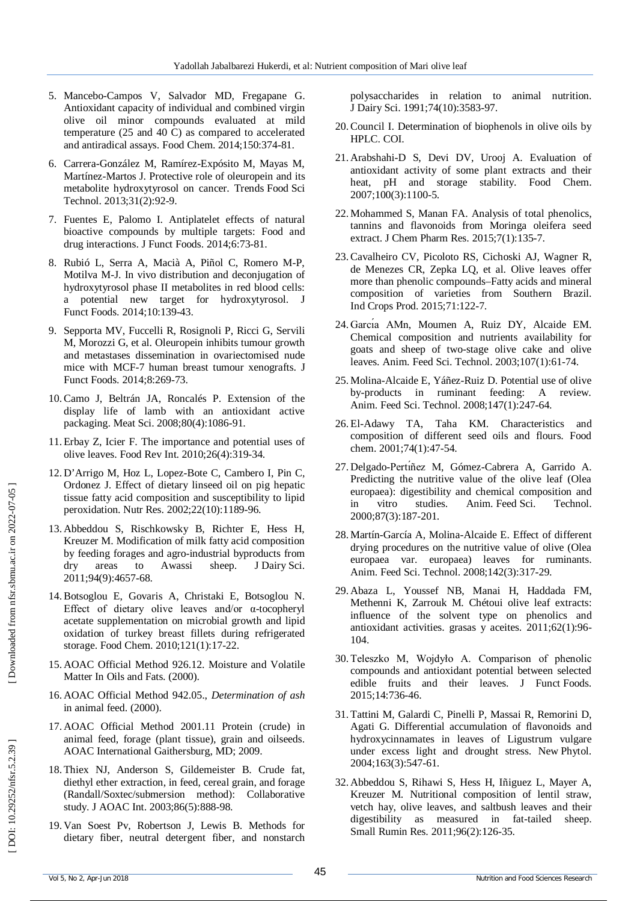- 5. Mancebo -Campos V, Salvador MD, Fregapane G. Antioxidant capacity of individual and combined virgin olive oil minor compounds evaluated at mild temperature (25 and 40 C) as compared to accelerated and antiradical assays. Food Chem. 2014;150:374 -81.
- 6. Carrera -González M, Ramírez -Expósito M, Mayas M, Martínez-Martos J. Protective role of oleuropein and its metabolite hydroxytyrosol on cancer. Trends Food Sci Technol. 2013;31(2):92 -9.
- 7. Fuentes E, Palomo I. Antiplatelet effects of natural bioactive compounds by multiple targets: Food and drug interactions. J Funct Foods. 2014;6:73 -81.
- 8. Rubió L, Serra A, Macià A, Piñol C, Romero M -P, Motilva M -J. In vivo distribution and deconjugation of hydroxytyrosol phase II metabolites in red blood cells: a potential new target for hydroxytyrosol. J Funct Foods. 2014;10:139 -43.
- 9. Sepporta MV, Fuccelli R, Rosignoli P, Ricci G, Servili M, Morozzi G, et al. Oleuropein inhibits tumour growth and metastases dissemination in ovariectomised nude mice with MCF -7 human breast tumour xenografts. J Funct Foods. 2014;8:269 -73.
- 10.Camo J, Beltrán JA, Roncalés P. Extension of the display life of lamb with an antioxidant active packaging. Meat Sci. 2008;80(4):1086 -91.
- 11. Erbay Z, Icier F. The importance and potential uses of olive leaves. Food Rev Int. 2010;26(4):319 -34.
- 12. D'Arrigo M, Hoz L, Lopez -Bote C, Cambero I, Pin C, Ordonez J. Effect of dietary linseed oil on pig hepatic tissue fatty acid composition and susceptibility to lipid peroxidation. Nutr Res. 2002;22(10):1189 -96.
- 13. Abbeddou S, Rischkowsky B, Richter E, Hess H, Kreuzer M. Modification of milk fatty acid composition by feeding forages and agro -industrial byproducts from dry areas to Awassi sheep. J Dairy Sci. 2011;94(9):4657 -68.
- 14.Botsoglou E, Govaris A, Christaki E, Botsoglou N. Effect of dietary olive leaves and/or α -tocopheryl acetate supplementation on microbial growth and lipid oxidation of turkey breast fillets during refrigerated storage. Food Chem. 2010;121(1):17 -22.
- 15. AOAC Official Method 926.12. Moisture and Volatile Matter In Oils and Fats. (2000).
- 16. AOAC Official Method 942.05., *Determination of ash* in animal feed. (2000).
- 17. AOAC Official Method 2001.11 Protein (crude) in animal feed, forage (plant tissue), grain and oilseeds. AOAC International Gaithersburg, MD; 2009.
- 18. Thiex NJ, Anderson S, Gildemeister B. Crude fat, diethyl ether extraction, in feed, cereal grain, and forage (Randall/Soxtec/submersion method): Collaborative study. J AOAC Int. 2003;86(5):888 -98.
- 19. Van Soest Pv, Robertson J, Lewis B. Methods for dietary fiber, neutral detergent fiber, and nonstarch

polysaccharides in relation to animal nutrition. J Dairy Sci. 1991;74(10):3583-97.

- 20.Council I. Determination of biophenols in olive oils by HPLC. COI.
- 21. Arabshahi -D S, Devi DV, Urooj A. Evaluation of antioxidant activity of some plant extracts and their heat, pH and storage stability. Food Chem. 2007;100(3):1100 -5.
- 22. Mohammed S, Manan FA. Analysis of total phenolics, tannins and flavonoids from Moringa oleifera seed extract. J Chem Pharm Res. 2015;7(1):135 -7.
- 23.Cavalheiro CV, Picoloto RS, Cichoski AJ, Wagner R, de Menezes CR, Zepka LQ, et al. Olive leaves offer more than phenolic compounds –Fatty acids and mineral composition of varieties from Southern Brazil. Ind Crops Prod. 2015;71:122 -7.
- 24 . Garcı́a AMn, Moumen A, Ruiz DY, Alcaide EM. Chemical composition and nutrients availability for goats and sheep of two -stage olive cake and olive leaves. Anim. Feed Sci. Technol. 2003;107(1):61 -74.
- 25. Molina -Alcaide E, Yáñez -Ruiz D. Potential use of olive by -products in ruminant feeding: A review. Anim. Feed Sci. Technol. 2008;147(1):247 -64.
- 26. El -Adawy TA, Taha KM. Characteristics and composition of different seed oils and flours. Food chem. 2001;74(1):47 -54.
- 27. Delgado -Pertı́ñez M, Gómez -Cabrera A, Garrido A. Predicting the nutritive value of the olive leaf (Olea europaea): digestibility and chemical composition and in vitro studies. Anim. Feed Sci. Technol. 2000;87(3):187 -201.
- 28. Martín -García A, Molina -Alcaide E. Effect of different drying procedures on the nutritive value of olive (Olea europaea var. europaea) leaves for ruminants. Anim. Feed Sci. Technol. 2008;142(3):317 -29.
- 29. Abaza L, Youssef NB, Manai H, Haddada FM, Methenni K, Zarrouk M. Chétoui olive leaf extracts: influence of the solvent type on phenolics and antioxidant activities. grasas y aceites. 2011;62(1):96 - 104.
- 30. Teleszko M, Wojdyło A. Comparison of phenolic compounds and antioxidant potential between selected edible fruits and their leaves. J Funct Foods. 2015;14:736 -46.
- 31. Tattini M, Galardi C, Pinelli P, Massai R, Remorini D, Agati G. Differential accumulation of flavonoids and hydroxycinnamates in leaves of Ligustrum vulgare under excess light and drought stress. New Phytol. 2004;163(3):547 -61.
- 32. Abbeddou S, Rihawi S, Hess H, Iñiguez L, Mayer A, Kreuzer M. Nutritional composition of lentil straw, vetch hay, olive leaves, and saltbush leaves and their digestibility as measured in fat -tailed sheep. Small Rumin Res. 2011;96(2):126 -35.